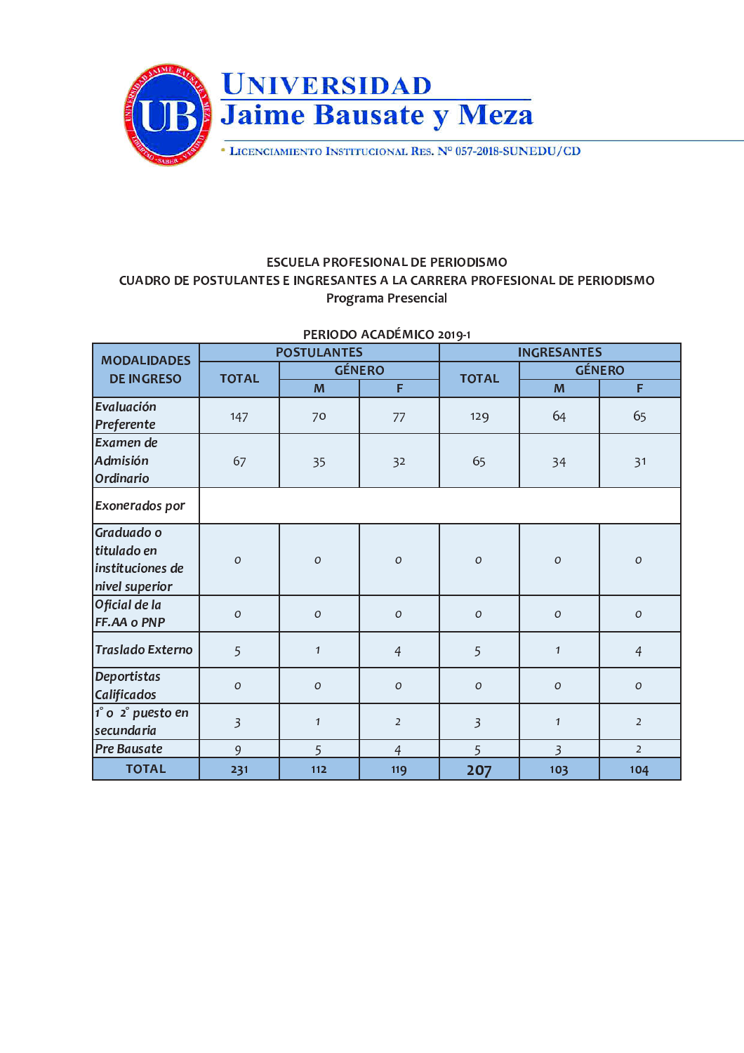

## **ESCUELA PROFESIONAL DE PERIODISMO** CUADRO DE POSTULANTES E INGRESANTES A LA CARRERA PROFESIONAL DE PERIODISMO Programa Presencial

| <b>MODALIDADES</b><br><b>DE INGRESO</b>                         | <b>POSTULANTES</b> |               |                | <b>INGRESANTES</b>      |                |                  |
|-----------------------------------------------------------------|--------------------|---------------|----------------|-------------------------|----------------|------------------|
|                                                                 | <b>TOTAL</b>       | <b>GÉNERO</b> |                |                         | <b>GÉNERO</b>  |                  |
|                                                                 |                    | M             | F              | <b>TOTAL</b>            | M              | F                |
| Evaluación<br>Preferente                                        | 147                | 70            | 77             | 129                     | 64             | 65               |
| Examen de<br>Admisión<br>Ordinario                              | 67                 | 35            | 32             | 65                      | 34             | 31               |
| <b>Exonerados por</b>                                           |                    |               |                |                         |                |                  |
| Graduado o<br>titulado en<br>instituciones de<br>nivel superior | $\mathcal{O}$      | $\cal O$      | $\cal O$       | $\cal O$                | $\cal O$       | $\cal O$         |
| Oficial de la<br>FF.AA o PNP                                    | $\mathcal{O}$      | $\Omega$      | $\mathcal{O}$  | $\cal O$                | $\mathcal O$   | $\boldsymbol{O}$ |
| Traslado Externo                                                | 5                  | $\mathbf{1}$  | $\overline{4}$ | 5                       | $\mathbf{1}$   | $\overline{4}$   |
| Deportistas<br>Calificados                                      | $\mathcal{O}$      | $\mathcal{O}$ | $\mathcal{O}$  | ${\cal O}$              | $\cal O$       | $\cal O$         |
| $1^\circ$ o $2^\circ$ puesto en<br>secundaria                   | $\overline{3}$     | $\mathbf{1}$  | $\overline{2}$ | $\overline{\mathbf{3}}$ | $\mathbf{1}$   | $\overline{2}$   |
| <b>Pre Bausate</b>                                              | 9                  | 5             | $\overline{4}$ | 5                       | $\overline{3}$ | $\overline{2}$   |
| <b>TOTAL</b>                                                    | 231                | 112           | 119            | 207                     | 103            | 104              |

PERIODO ACADÉMICO 2019-1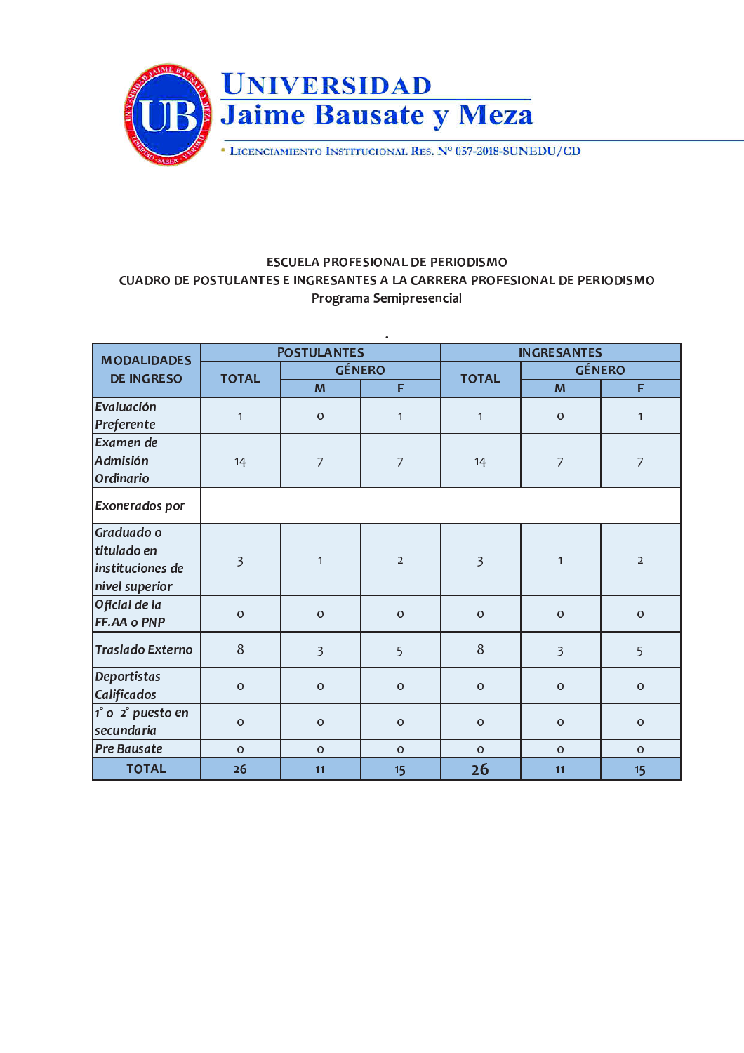

## **ESCUELA PROFESIONAL DE PERIODISMO** CUADRO DE POSTULANTES E INGRESANTES A LA CARRERA PROFESIONAL DE PERIODISMO Programa Semipresencial

| <b>MODALIDADES</b><br><b>DE INGRESO</b>                         | <b>POSTULANTES</b>      |                     |                     | <b>INGRESANTES</b>      |                     |                     |
|-----------------------------------------------------------------|-------------------------|---------------------|---------------------|-------------------------|---------------------|---------------------|
|                                                                 | <b>TOTAL</b>            | <b>GÉNERO</b>       |                     | <b>TOTAL</b>            | <b>GÉNERO</b>       |                     |
|                                                                 |                         | M                   | F                   |                         | M                   | F                   |
| Evaluación<br>Preferente                                        | $\mathbf{1}$            | $\mathsf{O}\xspace$ | $\mathbf{1}$        | $\mathbf{1}$            | $\mathsf{O}\xspace$ | $\mathbf{1}$        |
| Examen de<br>Admisión<br>Ordinario                              | 14                      | $\overline{7}$      | 7                   | 14                      | $\overline{7}$      | $\overline{7}$      |
| Exonerados por                                                  |                         |                     |                     |                         |                     |                     |
| Graduado o<br>titulado en<br>instituciones de<br>nivel superior | $\overline{\mathbf{3}}$ | $\mathbf{1}$        | $\overline{2}$      | $\overline{\mathbf{3}}$ | $\mathbf{1}$        | $\overline{2}$      |
| Oficial de la<br>FF.AA o PNP                                    | $\circ$                 | $\mathbf{O}$        | $\mathsf{O}\xspace$ | $\circ$                 | $\circ$             | $\circ$             |
| Traslado Externo                                                | 8                       | $\overline{3}$      | 5                   | 8                       | $\overline{3}$      | 5                   |
| Deportistas<br>Calificados                                      | $\circ$                 | $\mbox{O}$          | $\mathsf O$         | $\mathbf 0$             | $\circ$             | $\mathsf{O}\xspace$ |
| $1^\circ$ o $2^\circ$ puesto en<br>secundaria                   | $\mathsf{O}\xspace$     | $\mbox{O}$          | $\mathsf O$         | $\mathsf{O}\xspace$     | $\mathsf{O}\xspace$ | $\mathsf{O}\xspace$ |
| Pre Bausate                                                     | $\mathbf{O}$            | $\Omega$            | $\mathsf{O}\xspace$ | $\mathbf{O}$            | $\Omega$            | $\Omega$            |
| <b>TOTAL</b>                                                    | 26                      | 11                  | 15                  | 26                      | 11                  | 15                  |